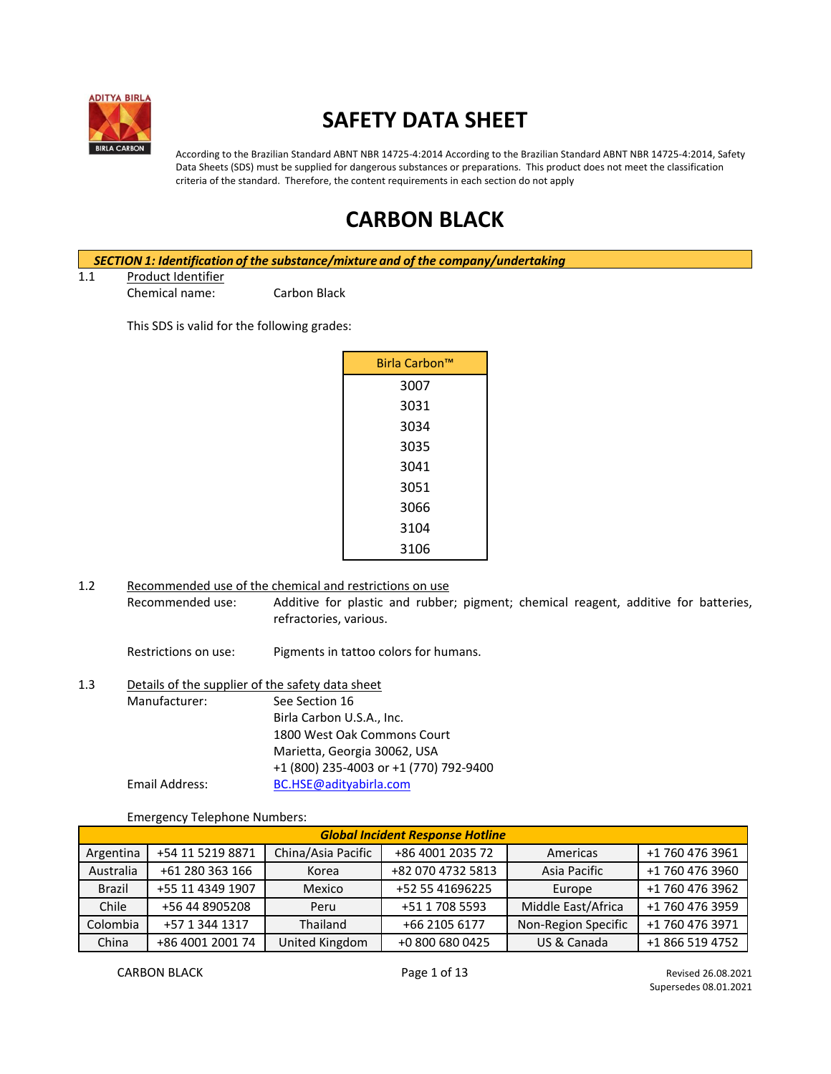

# **SAFETY DATA SHEET**

According to the Brazilian Standard ABNT NBR 14725-4:2014 According to the Brazilian Standard ABNT NBR 14725-4:2014, Safety Data Sheets (SDS) must be supplied for dangerous substances or preparations. This product does not meet the classification criteria of the standard. Therefore, the content requirements in each section do not apply

## **CARBON BLACK**

*SECTION 1: Identification of the substance/mixture and of the company/undertaking* 1.1 Product Identifier Chemical name: Carbon Black

This SDS is valid for the following grades:

| Birla Carbon™ |  |
|---------------|--|
| 3007          |  |
| 3031          |  |
| 3034          |  |
| 3035          |  |
| 3041          |  |
| 3051          |  |
| 3066          |  |
| 3104          |  |
| 3106          |  |

1.2 Recommended use of the chemical and restrictions on use Recommended use: Additive for plastic and rubber; pigment; chemical reagent, additive for batteries, refractories, various.

Restrictions on use: Pigments in tattoo colors for humans.

| 1.3 | Details of the supplier of the safety data sheet |                                        |  |
|-----|--------------------------------------------------|----------------------------------------|--|
|     | Manufacturer:                                    | See Section 16                         |  |
|     |                                                  | Birla Carbon U.S.A., Inc.              |  |
|     |                                                  | 1800 West Oak Commons Court            |  |
|     |                                                  | Marietta, Georgia 30062, USA           |  |
|     |                                                  | +1 (800) 235-4003 or +1 (770) 792-9400 |  |
|     | Email Address:                                   | BC.HSE@adityabirla.com                 |  |

Emergency Telephone Numbers:

| <b>Global Incident Response Hotline</b>                                             |                                                               |                     |                 |             |                 |
|-------------------------------------------------------------------------------------|---------------------------------------------------------------|---------------------|-----------------|-------------|-----------------|
| China/Asia Pacific<br>+54 11 5219 8871<br>+86 4001 2035 72<br>Argentina<br>Americas |                                                               |                     | +1 760 476 3961 |             |                 |
| Australia                                                                           | Asia Pacific<br>+61 280 363 166<br>+82 070 4732 5813<br>Korea |                     | +1 760 476 3960 |             |                 |
| <b>Brazil</b>                                                                       | +55 11 4349 1907                                              | Mexico              | +52 55 41696225 | Europe      | +1 760 476 3962 |
| Chile<br>+56 44 8905208<br>+51 1 708 5593<br>Peru                                   |                                                               | Middle East/Africa  | +1 760 476 3959 |             |                 |
| Colombia<br>+57 1 344 1317<br>Thailand<br>+66 2105 6177                             |                                                               | Non-Region Specific | +1 760 476 3971 |             |                 |
| China                                                                               | +86 4001 2001 74                                              | United Kingdom      | +0 800 680 0425 | US & Canada | +1 866 519 4752 |

CARBON BLACK **Page 1 of 13** Revised 26.08.2021 Supersedes 08.01.2021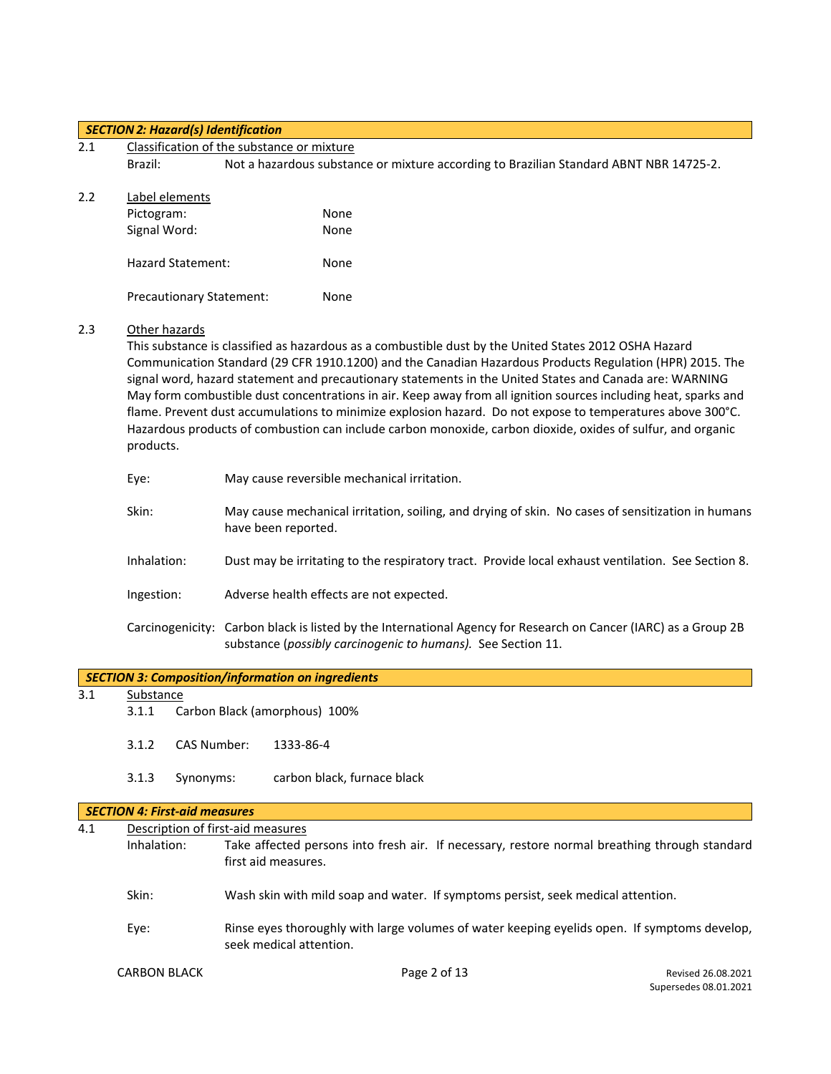#### *SECTION 2: Hazard(s) Identification*

|     | <u>section 2. Hazarajsj haemijication</u> |                                                                                                                                                                                                                                                                                                                                                                                                                                                                                                                                                                                                                                                                              |  |  |
|-----|-------------------------------------------|------------------------------------------------------------------------------------------------------------------------------------------------------------------------------------------------------------------------------------------------------------------------------------------------------------------------------------------------------------------------------------------------------------------------------------------------------------------------------------------------------------------------------------------------------------------------------------------------------------------------------------------------------------------------------|--|--|
| 2.1 |                                           | Classification of the substance or mixture                                                                                                                                                                                                                                                                                                                                                                                                                                                                                                                                                                                                                                   |  |  |
|     | Brazil:                                   | Not a hazardous substance or mixture according to Brazilian Standard ABNT NBR 14725-2.                                                                                                                                                                                                                                                                                                                                                                                                                                                                                                                                                                                       |  |  |
| 2.2 | Label elements                            |                                                                                                                                                                                                                                                                                                                                                                                                                                                                                                                                                                                                                                                                              |  |  |
|     | Pictogram:                                | None                                                                                                                                                                                                                                                                                                                                                                                                                                                                                                                                                                                                                                                                         |  |  |
|     | Signal Word:                              | None                                                                                                                                                                                                                                                                                                                                                                                                                                                                                                                                                                                                                                                                         |  |  |
|     | <b>Hazard Statement:</b>                  | None                                                                                                                                                                                                                                                                                                                                                                                                                                                                                                                                                                                                                                                                         |  |  |
|     | <b>Precautionary Statement:</b>           | None                                                                                                                                                                                                                                                                                                                                                                                                                                                                                                                                                                                                                                                                         |  |  |
| 2.3 | Other hazards<br>products.                | This substance is classified as hazardous as a combustible dust by the United States 2012 OSHA Hazard<br>Communication Standard (29 CFR 1910.1200) and the Canadian Hazardous Products Regulation (HPR) 2015. The<br>signal word, hazard statement and precautionary statements in the United States and Canada are: WARNING<br>May form combustible dust concentrations in air. Keep away from all ignition sources including heat, sparks and<br>flame. Prevent dust accumulations to minimize explosion hazard. Do not expose to temperatures above 300°C.<br>Hazardous products of combustion can include carbon monoxide, carbon dioxide, oxides of sulfur, and organic |  |  |
|     | Eye:                                      | May cause reversible mechanical irritation.                                                                                                                                                                                                                                                                                                                                                                                                                                                                                                                                                                                                                                  |  |  |
|     | Skin:                                     | May cause mechanical irritation, soiling, and drying of skin. No cases of sensitization in humans<br>have been reported.                                                                                                                                                                                                                                                                                                                                                                                                                                                                                                                                                     |  |  |
|     | Inhalation:                               | Dust may be irritating to the respiratory tract. Provide local exhaust ventilation. See Section 8.                                                                                                                                                                                                                                                                                                                                                                                                                                                                                                                                                                           |  |  |
|     | Ingestion:                                | Adverse health effects are not expected.                                                                                                                                                                                                                                                                                                                                                                                                                                                                                                                                                                                                                                     |  |  |
|     |                                           | Carcinogenicity: Carbon black is listed by the International Agency for Research on Cancer (IARC) as a Group 2B<br>substance (possibly carcinogenic to humans). See Section 11.                                                                                                                                                                                                                                                                                                                                                                                                                                                                                              |  |  |

|  | SECTION 3: Composition/information on ingredients |
|--|---------------------------------------------------|
|  |                                                   |

# 3.1 <u>Substance</u><br>3.1.1 Ca

 $\overline{\phantom{a}}$ Carbon Black (amorphous) 100%

- 3.1.2 CAS Number: 1333-86-4
- 3.1.3 Synonyms: carbon black, furnace black

### *SECTION 4: First-aid measures*

| 4.1 |                     | Description of first-aid measures                                                                                       |
|-----|---------------------|-------------------------------------------------------------------------------------------------------------------------|
|     | Inhalation:         | Take affected persons into fresh air. If necessary, restore normal breathing through standard<br>first aid measures.    |
|     |                     |                                                                                                                         |
|     | Skin:               | Wash skin with mild soap and water. If symptoms persist, seek medical attention.                                        |
|     | Eye:                | Rinse eyes thoroughly with large volumes of water keeping eyelids open. If symptoms develop,<br>seek medical attention. |
|     | <b>CARBON BLACK</b> | Page 2 of 13<br>Revised 26.08.2021<br>Supersedes 08.01.2021                                                             |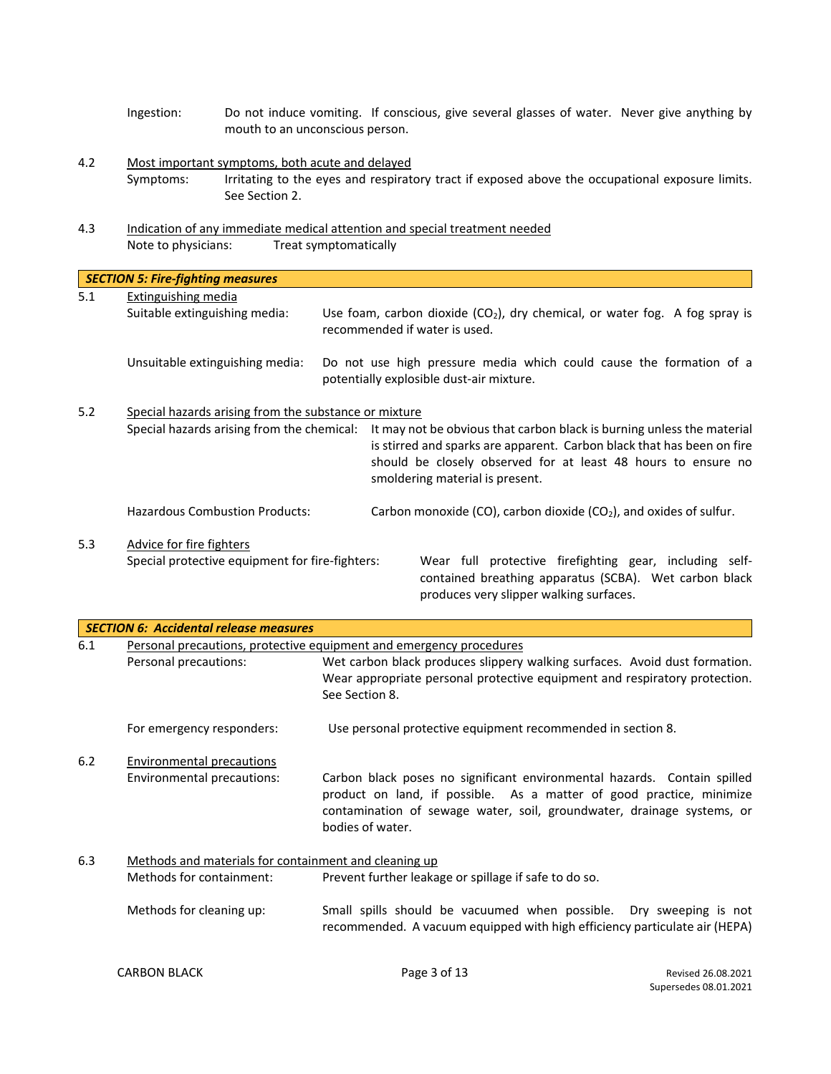- Ingestion: Do not induce vomiting. If conscious, give several glasses of water. Never give anything by mouth to an unconscious person.
- 4.2 Most important symptoms, both acute and delayed Symptoms: Irritating to the eyes and respiratory tract if exposed above the occupational exposure limits. See Section 2.
- 4.3 Indication of any immediate medical attention and special treatment needed Note to physicians: Treat symptomatically

|     | <b>SECTION 5: Fire-fighting measures</b>              |  |                                                                                                                                                                                                                                                      |                                                                                                                                                              |
|-----|-------------------------------------------------------|--|------------------------------------------------------------------------------------------------------------------------------------------------------------------------------------------------------------------------------------------------------|--------------------------------------------------------------------------------------------------------------------------------------------------------------|
| 5.1 | <b>Extinguishing media</b>                            |  |                                                                                                                                                                                                                                                      |                                                                                                                                                              |
|     | Suitable extinguishing media:                         |  |                                                                                                                                                                                                                                                      | Use foam, carbon dioxide $(CO2)$ , dry chemical, or water fog. A fog spray is<br>recommended if water is used.                                               |
|     | Unsuitable extinguishing media:                       |  |                                                                                                                                                                                                                                                      | Do not use high pressure media which could cause the formation of a<br>potentially explosible dust-air mixture.                                              |
| 5.2 | Special hazards arising from the substance or mixture |  |                                                                                                                                                                                                                                                      |                                                                                                                                                              |
|     | Special hazards arising from the chemical:            |  | It may not be obvious that carbon black is burning unless the material<br>is stirred and sparks are apparent. Carbon black that has been on fire<br>should be closely observed for at least 48 hours to ensure no<br>smoldering material is present. |                                                                                                                                                              |
|     | <b>Hazardous Combustion Products:</b>                 |  |                                                                                                                                                                                                                                                      | Carbon monoxide (CO), carbon dioxide (CO <sub>2</sub> ), and oxides of sulfur.                                                                               |
| 5.3 | Advice for fire fighters                              |  |                                                                                                                                                                                                                                                      |                                                                                                                                                              |
|     | Special protective equipment for fire-fighters:       |  |                                                                                                                                                                                                                                                      | Wear full protective firefighting gear, including self-<br>contained breathing apparatus (SCBA). Wet carbon black<br>produces very slipper walking surfaces. |

|     | <b>SECTION 6: Accidental release measures</b>                       |                                                                                                                                                                                                                                                |  |
|-----|---------------------------------------------------------------------|------------------------------------------------------------------------------------------------------------------------------------------------------------------------------------------------------------------------------------------------|--|
| 6.1 | Personal precautions, protective equipment and emergency procedures |                                                                                                                                                                                                                                                |  |
|     | Personal precautions:                                               | Wet carbon black produces slippery walking surfaces. Avoid dust formation.                                                                                                                                                                     |  |
|     |                                                                     | Wear appropriate personal protective equipment and respiratory protection.<br>See Section 8.                                                                                                                                                   |  |
|     | For emergency responders:                                           | Use personal protective equipment recommended in section 8.                                                                                                                                                                                    |  |
| 6.2 | <b>Environmental precautions</b>                                    |                                                                                                                                                                                                                                                |  |
|     | Environmental precautions:                                          | Carbon black poses no significant environmental hazards. Contain spilled<br>product on land, if possible. As a matter of good practice, minimize<br>contamination of sewage water, soil, groundwater, drainage systems, or<br>bodies of water. |  |
| 6.3 | Methods and materials for containment and cleaning up               |                                                                                                                                                                                                                                                |  |
|     | Methods for containment:                                            | Prevent further leakage or spillage if safe to do so.                                                                                                                                                                                          |  |
|     | Methods for cleaning up:                                            | Small spills should be vacuumed when possible. Dry sweeping is not<br>recommended. A vacuum equipped with high efficiency particulate air (HEPA)                                                                                               |  |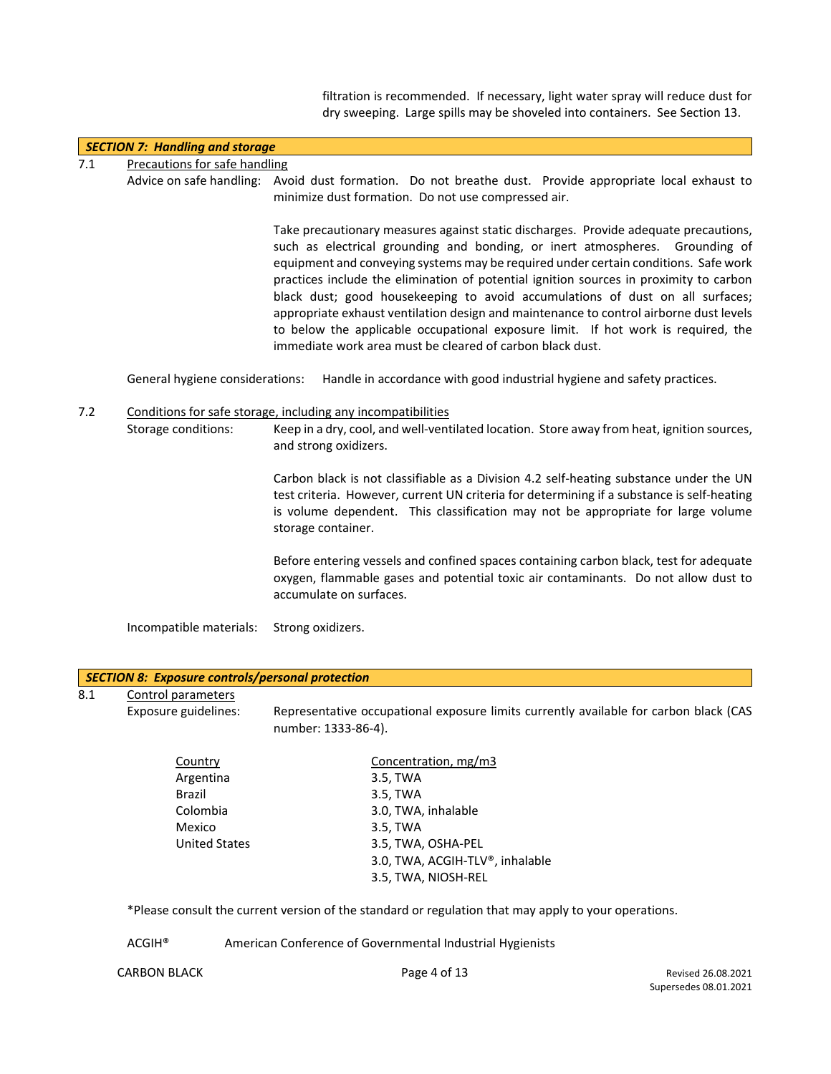filtration is recommended. If necessary, light water spray will reduce dust for dry sweeping. Large spills may be shoveled into containers. See Section 13.

|     | <b>SECTION 7: Handling and storage</b> |                                                                                                                                                                                                                                                                                                                                                                                                                                                                                                                                                                                                                                                                                    |
|-----|----------------------------------------|------------------------------------------------------------------------------------------------------------------------------------------------------------------------------------------------------------------------------------------------------------------------------------------------------------------------------------------------------------------------------------------------------------------------------------------------------------------------------------------------------------------------------------------------------------------------------------------------------------------------------------------------------------------------------------|
| 7.1 | Precautions for safe handling          |                                                                                                                                                                                                                                                                                                                                                                                                                                                                                                                                                                                                                                                                                    |
|     |                                        | Advice on safe handling: Avoid dust formation. Do not breathe dust. Provide appropriate local exhaust to<br>minimize dust formation. Do not use compressed air.                                                                                                                                                                                                                                                                                                                                                                                                                                                                                                                    |
|     |                                        | Take precautionary measures against static discharges. Provide adequate precautions,<br>such as electrical grounding and bonding, or inert atmospheres. Grounding of<br>equipment and conveying systems may be required under certain conditions. Safe work<br>practices include the elimination of potential ignition sources in proximity to carbon<br>black dust; good housekeeping to avoid accumulations of dust on all surfaces;<br>appropriate exhaust ventilation design and maintenance to control airborne dust levels<br>to below the applicable occupational exposure limit. If hot work is required, the<br>immediate work area must be cleared of carbon black dust. |
|     | General hygiene considerations:        | Handle in accordance with good industrial hygiene and safety practices.                                                                                                                                                                                                                                                                                                                                                                                                                                                                                                                                                                                                            |
| 7.2 | Storage conditions:                    | Conditions for safe storage, including any incompatibilities<br>Keep in a dry, cool, and well-ventilated location. Store away from heat, ignition sources,<br>and strong oxidizers.                                                                                                                                                                                                                                                                                                                                                                                                                                                                                                |
|     |                                        | Carbon black is not classifiable as a Division 4.2 self-heating substance under the UN<br>test criteria. However, current UN criteria for determining if a substance is self-heating<br>is volume dependent. This classification may not be appropriate for large volume<br>storage container.                                                                                                                                                                                                                                                                                                                                                                                     |
|     |                                        | Before entering vessels and confined spaces containing carbon black, test for adequate<br>oxygen, flammable gases and potential toxic air contaminants. Do not allow dust to<br>accumulate on surfaces.                                                                                                                                                                                                                                                                                                                                                                                                                                                                            |
|     | Incompatible materials:                | Strong oxidizers.                                                                                                                                                                                                                                                                                                                                                                                                                                                                                                                                                                                                                                                                  |

|     | <b>SECTION 8: Exposure controls/personal protection</b> |                                                                                                              |  |  |
|-----|---------------------------------------------------------|--------------------------------------------------------------------------------------------------------------|--|--|
| 8.1 | Control parameters                                      |                                                                                                              |  |  |
|     | Exposure guidelines:                                    | Representative occupational exposure limits currently available for carbon black (CAS<br>number: 1333-86-4). |  |  |
|     | Country                                                 | Concentration, mg/m3                                                                                         |  |  |
|     | Argentina                                               | 3.5, TWA                                                                                                     |  |  |
|     | Brazil                                                  | 3.5, TWA                                                                                                     |  |  |
|     | Colombia                                                | 3.0, TWA, inhalable                                                                                          |  |  |
|     | Mexico                                                  | 3.5. TWA                                                                                                     |  |  |

| Colombia             | 3.0, TWA, inhalable             |
|----------------------|---------------------------------|
| Mexico               | 3.5. TWA                        |
| <b>United States</b> | 3.5, TWA, OSHA-PEL              |
|                      | 3.0, TWA, ACGIH-TLV®, inhalable |
|                      | 3.5, TWA, NIOSH-REL             |

\*Please consult the current version of the standard or regulation that may apply to your operations.

ACGIH® American Conference of Governmental Industrial Hygienists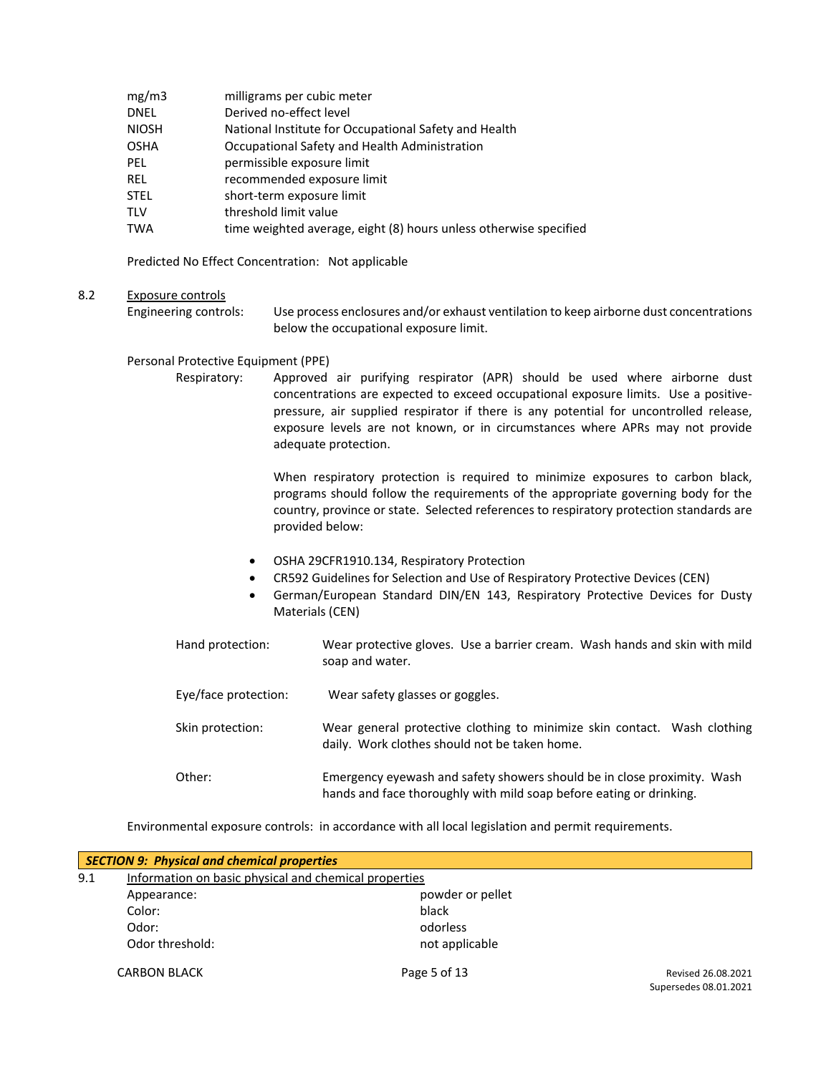- mg/m3 milligrams per cubic meter
- DNEL Derived no-effect level
- NIOSH National Institute for Occupational Safety and Health
- OSHA Occupational Safety and Health Administration
- PEL permissible exposure limit
- REL recommended exposure limit
- STEL short-term exposure limit
- TLV threshold limit value
- TWA time weighted average, eight (8) hours unless otherwise specified

Predicted No Effect Concentration: Not applicable

#### 8.2 Exposure controls

Engineering controls: Use process enclosures and/or exhaust ventilation to keep airborne dust concentrations below the occupational exposure limit.

#### Personal Protective Equipment (PPE)

Respiratory: Approved air purifying respirator (APR) should be used where airborne dust concentrations are expected to exceed occupational exposure limits. Use a positivepressure, air supplied respirator if there is any potential for uncontrolled release, exposure levels are not known, or in circumstances where APRs may not provide adequate protection.

> When respiratory protection is required to minimize exposures to carbon black, programs should follow the requirements of the appropriate governing body for the country, province or state. Selected references to respiratory protection standards are provided below:

- OSHA 29CFR1910.134, Respiratory Protection
- CR592 Guidelines for Selection and Use of Respiratory Protective Devices (CEN)
- German/European Standard DIN/EN 143, Respiratory Protective Devices for Dusty Materials (CEN)
- Hand protection: Wear protective gloves. Use a barrier cream. Wash hands and skin with mild soap and water. Eye/face protection: Wear safety glasses or goggles. Skin protection: Wear general protective clothing to minimize skin contact. Wash clothing daily. Work clothes should not be taken home.
- Other: Emergency eyewash and safety showers should be in close proximity. Wash hands and face thoroughly with mild soap before eating or drinking.

Environmental exposure controls: in accordance with all local legislation and permit requirements.

|     | <b>SECTION 9: Physical and chemical properties</b>    |                  |                       |
|-----|-------------------------------------------------------|------------------|-----------------------|
| 9.1 | Information on basic physical and chemical properties |                  |                       |
|     | Appearance:                                           | powder or pellet |                       |
|     | Color:                                                | black            |                       |
|     | Odor:                                                 | odorless         |                       |
|     | Odor threshold:                                       | not applicable   |                       |
|     | <b>CARBON BLACK</b>                                   | Page 5 of 13     | Revised 26.08.2021    |
|     |                                                       |                  | Supersedes 08.01.2021 |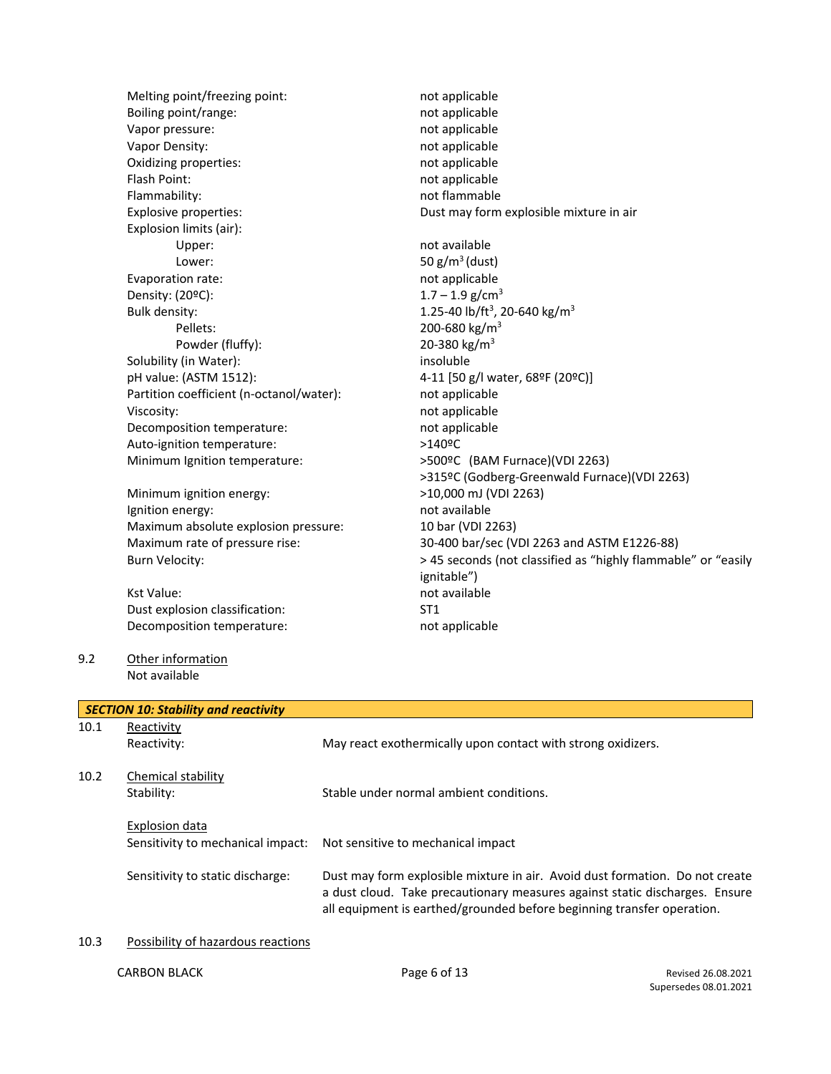Melting point/freezing point: not applicable Boiling point/range: not applicable Vapor pressure: not applicable Vapor Density: and applicable the contract of the contract of the contract of the contract of the contract of the contract of the contract of the contract of the contract of the contract of the contract of the contract of Oxidizing properties: not applicable Flash Point: not applicable Flammability: not flammable Explosive properties:  $\qquad \qquad \qquad$  Dust may form explosible mixture in air Explosion limits (air): Upper: not available Lower:  $50 \text{ g/m}^3 \text{(dust)}$ Evaporation rate: not applicable Density:  $(20^{\circ}C)$ : 1.7 – 1.9 g/cm<sup>3</sup> Bulk density:  $1.25-40$  lb/ft<sup>3</sup>, 20-640 kg/m<sup>3</sup> Pellets: 200-680 kg/m<sup>3</sup> Powder (fluffy):  $20-380 \text{ kg/m}^3$ Solubility (in Water): insoluble pH value: (ASTM 1512): 4-11 [50 g/l water, 68ºF (20ºC)] Partition coefficient (n-octanol/water): not applicable Viscosity: **not** applicable Decomposition temperature: not applicable Auto-ignition temperature:  $>140^{\circ}$ C Minimum Ignition temperature:  $>500$ <sup>o</sup>C (BAM Furnace)(VDI 2263)

Minimum ignition energy:  $>10,000$  mJ (VDI 2263) Ignition energy: and available in the state of a state of a state of a state of a state of a state of a state o Maximum absolute explosion pressure: 10 bar (VDI 2263)

Kst Value: not available Dust explosion classification: ST1 Decomposition temperature: not applicable

9.2 Other information Not available

>315ºC (Godberg-Greenwald Furnace)(VDI 2263) Maximum rate of pressure rise: 30-400 bar/sec (VDI 2263 and ASTM E1226-88) Burn Velocity:  $> 45$  seconds (not classified as "highly flammable" or "easily ignitable")

|      | <b>SECTION 10: Stability and reactivity</b>         |                                                                                                                                                                                                                                       |
|------|-----------------------------------------------------|---------------------------------------------------------------------------------------------------------------------------------------------------------------------------------------------------------------------------------------|
| 10.1 | Reactivity<br>Reactivity:                           | May react exothermically upon contact with strong oxidizers.                                                                                                                                                                          |
| 10.2 | Chemical stability<br>Stability:                    | Stable under normal ambient conditions.                                                                                                                                                                                               |
|      | Explosion data<br>Sensitivity to mechanical impact: | Not sensitive to mechanical impact                                                                                                                                                                                                    |
|      | Sensitivity to static discharge:                    | Dust may form explosible mixture in air. Avoid dust formation. Do not create<br>a dust cloud. Take precautionary measures against static discharges. Ensure<br>all equipment is earthed/grounded before beginning transfer operation. |
| 10.3 | Possibility of hazardous reactions                  |                                                                                                                                                                                                                                       |

#### 10.3 Possibility of hazardous reactions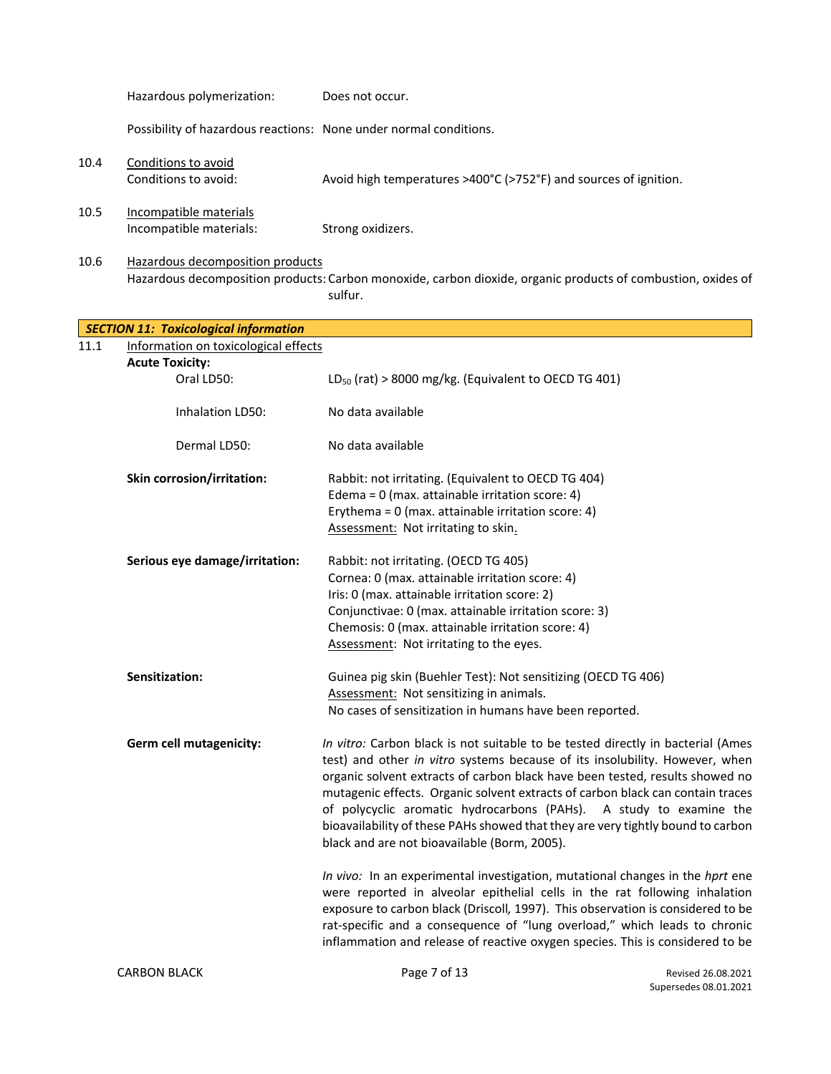|      | Hazardous polymerization:                                         | Does not occur.                                                                                                                                                                                                                                                                                                                                                                                                                                                                                                                           |                                             |
|------|-------------------------------------------------------------------|-------------------------------------------------------------------------------------------------------------------------------------------------------------------------------------------------------------------------------------------------------------------------------------------------------------------------------------------------------------------------------------------------------------------------------------------------------------------------------------------------------------------------------------------|---------------------------------------------|
|      | Possibility of hazardous reactions: None under normal conditions. |                                                                                                                                                                                                                                                                                                                                                                                                                                                                                                                                           |                                             |
| 10.4 | Conditions to avoid<br>Conditions to avoid:                       | Avoid high temperatures >400°C (>752°F) and sources of ignition.                                                                                                                                                                                                                                                                                                                                                                                                                                                                          |                                             |
| 10.5 | Incompatible materials<br>Incompatible materials:                 | Strong oxidizers.                                                                                                                                                                                                                                                                                                                                                                                                                                                                                                                         |                                             |
| 10.6 | Hazardous decomposition products                                  | Hazardous decomposition products: Carbon monoxide, carbon dioxide, organic products of combustion, oxides of<br>sulfur.                                                                                                                                                                                                                                                                                                                                                                                                                   |                                             |
|      | <b>SECTION 11: Toxicological information</b>                      |                                                                                                                                                                                                                                                                                                                                                                                                                                                                                                                                           |                                             |
| 11.1 | Information on toxicological effects                              |                                                                                                                                                                                                                                                                                                                                                                                                                                                                                                                                           |                                             |
|      | <b>Acute Toxicity:</b>                                            |                                                                                                                                                                                                                                                                                                                                                                                                                                                                                                                                           |                                             |
|      | Oral LD50:                                                        | $LD_{50}$ (rat) > 8000 mg/kg. (Equivalent to OECD TG 401)                                                                                                                                                                                                                                                                                                                                                                                                                                                                                 |                                             |
|      | Inhalation LD50:                                                  | No data available                                                                                                                                                                                                                                                                                                                                                                                                                                                                                                                         |                                             |
|      | Dermal LD50:                                                      | No data available                                                                                                                                                                                                                                                                                                                                                                                                                                                                                                                         |                                             |
|      | Skin corrosion/irritation:                                        | Rabbit: not irritating. (Equivalent to OECD TG 404)<br>Edema = $0$ (max. attainable irritation score: 4)<br>Erythema = $0$ (max. attainable irritation score: 4)<br>Assessment: Not irritating to skin.                                                                                                                                                                                                                                                                                                                                   |                                             |
|      | Serious eye damage/irritation:                                    | Rabbit: not irritating. (OECD TG 405)<br>Cornea: 0 (max. attainable irritation score: 4)<br>Iris: 0 (max. attainable irritation score: 2)<br>Conjunctivae: 0 (max. attainable irritation score: 3)<br>Chemosis: 0 (max. attainable irritation score: 4)<br>Assessment: Not irritating to the eyes.                                                                                                                                                                                                                                        |                                             |
|      | Sensitization:                                                    | Guinea pig skin (Buehler Test): Not sensitizing (OECD TG 406)<br>Assessment: Not sensitizing in animals.<br>No cases of sensitization in humans have been reported.                                                                                                                                                                                                                                                                                                                                                                       |                                             |
|      | <b>Germ cell mutagenicity:</b>                                    | In vitro: Carbon black is not suitable to be tested directly in bacterial (Ames<br>test) and other in vitro systems because of its insolubility. However, when<br>organic solvent extracts of carbon black have been tested, results showed no<br>mutagenic effects. Organic solvent extracts of carbon black can contain traces<br>of polycyclic aromatic hydrocarbons (PAHs). A study to examine the<br>bioavailability of these PAHs showed that they are very tightly bound to carbon<br>black and are not bioavailable (Borm, 2005). |                                             |
|      |                                                                   | In vivo: In an experimental investigation, mutational changes in the hprt ene<br>were reported in alveolar epithelial cells in the rat following inhalation<br>exposure to carbon black (Driscoll, 1997). This observation is considered to be<br>rat-specific and a consequence of "lung overload," which leads to chronic<br>inflammation and release of reactive oxygen species. This is considered to be                                                                                                                              |                                             |
|      | <b>CARBON BLACK</b>                                               | Page 7 of 13                                                                                                                                                                                                                                                                                                                                                                                                                                                                                                                              | Revised 26.08.2021<br>Supersedes 08.01.2021 |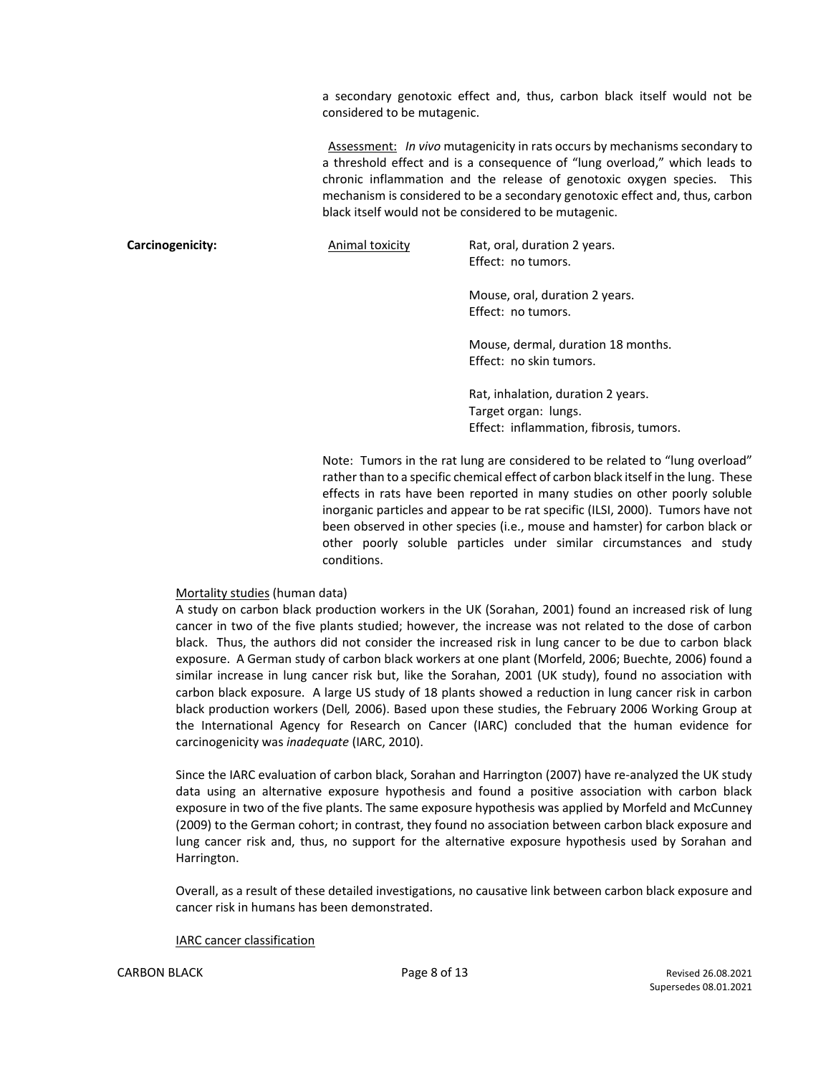a secondary genotoxic effect and, thus, carbon black itself would not be considered to be mutagenic.

Assessment: *In vivo* mutagenicity in rats occurs by mechanisms secondary to a threshold effect and is a consequence of "lung overload," which leads to chronic inflammation and the release of genotoxic oxygen species. This mechanism is considered to be a secondary genotoxic effect and, thus, carbon black itself would not be considered to be mutagenic.

**Carcinogenicity:** Animal toxicity Rat, oral, duration 2 years.

Effect: no tumors.

Mouse, oral, duration 2 years. Effect: no tumors.

Mouse, dermal, duration 18 months. Effect: no skin tumors.

Rat, inhalation, duration 2 years. Target organ: lungs. Effect: inflammation, fibrosis, tumors.

Note: Tumors in the rat lung are considered to be related to "lung overload" rather than to a specific chemical effect of carbon black itself in the lung. These effects in rats have been reported in many studies on other poorly soluble inorganic particles and appear to be rat specific (ILSI, 2000). Tumors have not been observed in other species (i.e., mouse and hamster) for carbon black or other poorly soluble particles under similar circumstances and study conditions.

#### Mortality studies (human data)

A study on carbon black production workers in the UK (Sorahan, 2001) found an increased risk of lung cancer in two of the five plants studied; however, the increase was not related to the dose of carbon black. Thus, the authors did not consider the increased risk in lung cancer to be due to carbon black exposure. A German study of carbon black workers at one plant (Morfeld, 2006; Buechte, 2006) found a similar increase in lung cancer risk but, like the Sorahan, 2001 (UK study), found no association with carbon black exposure. A large US study of 18 plants showed a reduction in lung cancer risk in carbon black production workers (Dell*,* 2006). Based upon these studies, the February 2006 Working Group at the International Agency for Research on Cancer (IARC) concluded that the human evidence for carcinogenicity was *inadequate* (IARC, 2010).

Since the IARC evaluation of carbon black, Sorahan and Harrington (2007) have re-analyzed the UK study data using an alternative exposure hypothesis and found a positive association with carbon black exposure in two of the five plants. The same exposure hypothesis was applied by Morfeld and McCunney (2009) to the German cohort; in contrast, they found no association between carbon black exposure and lung cancer risk and, thus, no support for the alternative exposure hypothesis used by Sorahan and Harrington.

Overall, as a result of these detailed investigations, no causative link between carbon black exposure and cancer risk in humans has been demonstrated.

#### IARC cancer classification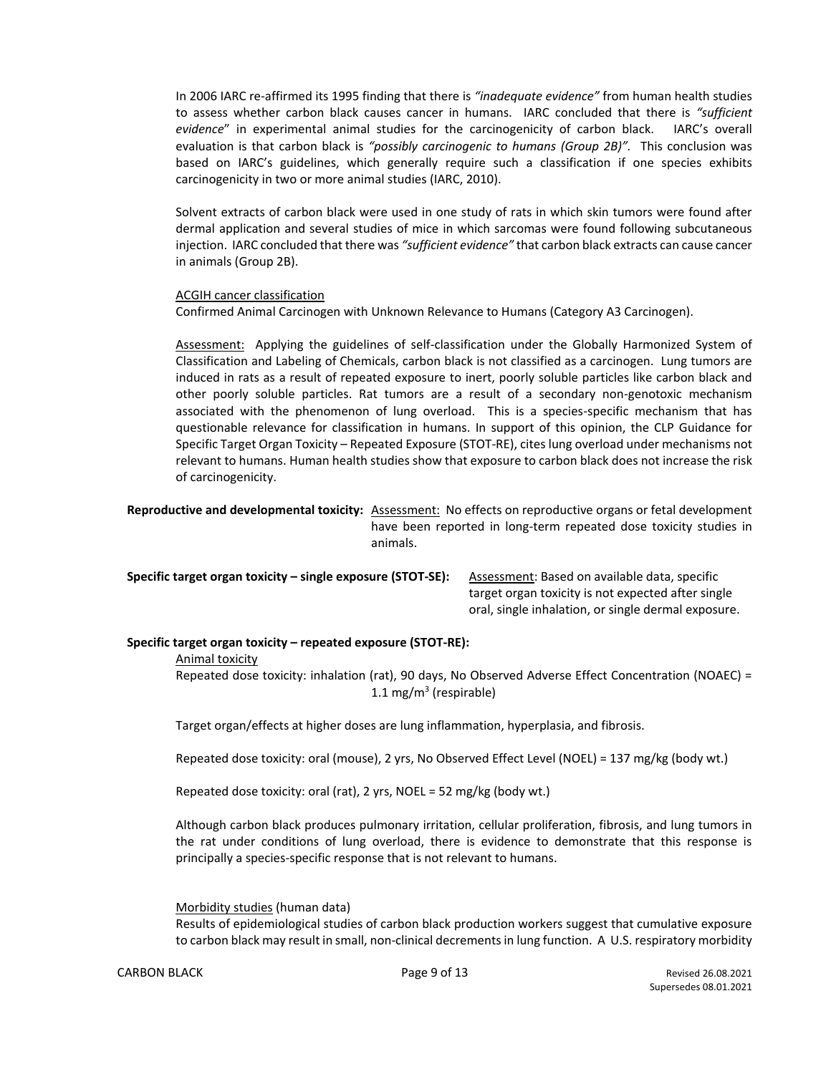In 2006 IARC re-affirmed its 1995 finding that there is *"inadequate evidence"* from human health studies to assess whether carbon black causes cancer in humans. IARC concluded that there is *"sufficient evidence*" in experimental animal studies for the carcinogenicity of carbon black. IARC's overall evaluation is that carbon black is *"possibly carcinogenic to humans (Group 2B)".* This conclusion was based on IARC's guidelines, which generally require such a classification if one species exhibits carcinogenicity in two or more animal studies (IARC, 2010).

Solvent extracts of carbon black were used in one study of rats in which skin tumors were found after dermal application and several studies of mice in which sarcomas were found following subcutaneous injection. IARC concluded that there was *"sufficient evidence"* that carbon black extracts can cause cancer in animals (Group 2B).

#### ACGIH cancer classification

Confirmed Animal Carcinogen with Unknown Relevance to Humans (Category A3 Carcinogen).

Assessment: Applying the guidelines of self-classification under the Globally Harmonized System of Classification and Labeling of Chemicals, carbon black is not classified as a carcinogen. Lung tumors are induced in rats as a result of repeated exposure to inert, poorly soluble particles like carbon black and other poorly soluble particles. Rat tumors are a result of a secondary non-genotoxic mechanism associated with the phenomenon of lung overload. This is a species-specific mechanism that has questionable relevance for classification in humans. In support of this opinion, the CLP Guidance for Specific Target Organ Toxicity – Repeated Exposure (STOT-RE), cites lung overload under mechanisms not relevant to humans. Human health studies show that exposure to carbon black does not increase the risk of carcinogenicity.

**Reproductive and developmental toxicity:** Assessment: No effects on reproductive organs or fetal development have been reported in long-term repeated dose toxicity studies in animals.

**Specific target organ toxicity – single exposure (STOT-SE):** Assessment: Based on available data, specific target organ toxicity is not expected after single oral, single inhalation, or single dermal exposure.

#### **Specific target organ toxicity – repeated exposure (STOT-RE):**

Animal toxicity

Repeated dose toxicity: inhalation (rat), 90 days, No Observed Adverse Effect Concentration (NOAEC) = 1.1 mg/m<sup>3</sup> (respirable)

Target organ/effects at higher doses are lung inflammation, hyperplasia, and fibrosis.

Repeated dose toxicity: oral (mouse), 2 yrs, No Observed Effect Level (NOEL) = 137 mg/kg (body wt.)

Repeated dose toxicity: oral (rat), 2 yrs, NOEL = 52 mg/kg (body wt.)

Although carbon black produces pulmonary irritation, cellular proliferation, fibrosis, and lung tumors in the rat under conditions of lung overload, there is evidence to demonstrate that this response is principally a species-specific response that is not relevant to humans.

Morbidity studies (human data)

Results of epidemiological studies of carbon black production workers suggest that cumulative exposure to carbon black may result in small, non-clinical decrements in lung function. A U.S. respiratory morbidity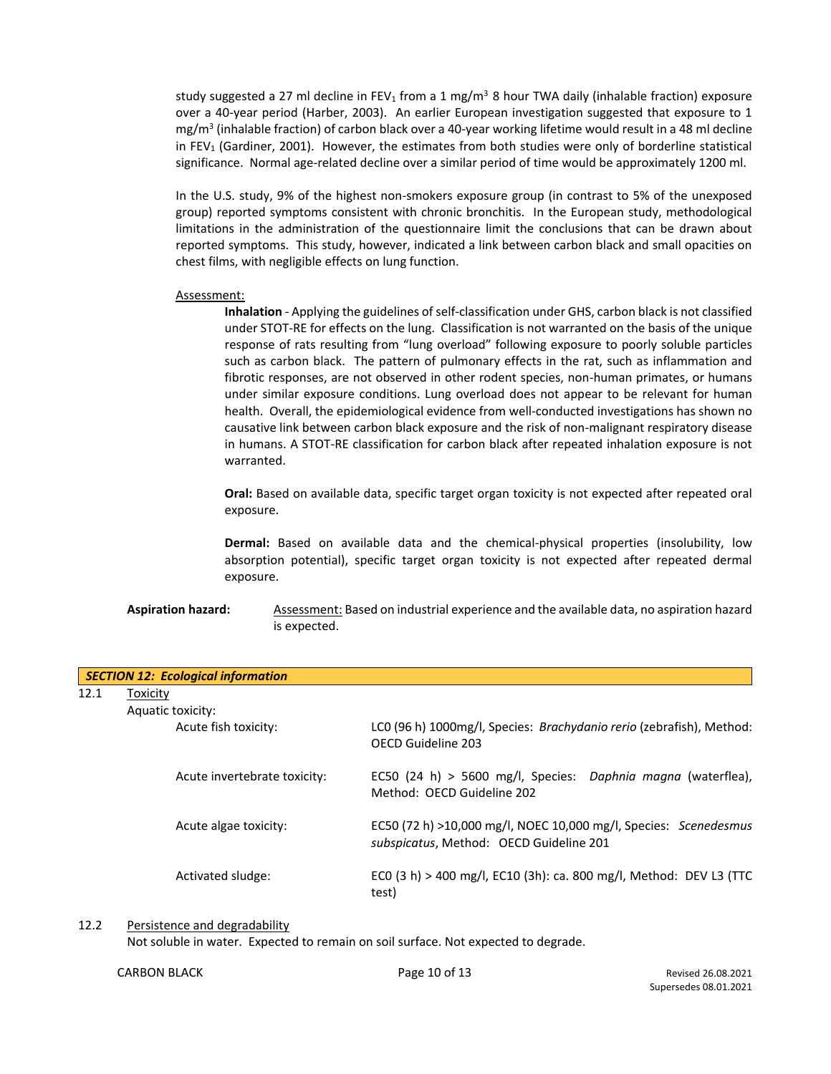study suggested a 27 ml decline in FEV<sub>1</sub> from a 1 mg/m<sup>3</sup> 8 hour TWA daily (inhalable fraction) exposure over a 40-year period (Harber, 2003). An earlier European investigation suggested that exposure to 1 mg/m<sup>3</sup> (inhalable fraction) of carbon black over a 40-year working lifetime would result in a 48 ml decline in FEV<sub>1</sub> (Gardiner, 2001). However, the estimates from both studies were only of borderline statistical significance. Normal age-related decline over a similar period of time would be approximately 1200 ml.

In the U.S. study, 9% of the highest non-smokers exposure group (in contrast to 5% of the unexposed group) reported symptoms consistent with chronic bronchitis. In the European study, methodological limitations in the administration of the questionnaire limit the conclusions that can be drawn about reported symptoms. This study, however, indicated a link between carbon black and small opacities on chest films, with negligible effects on lung function.

#### Assessment:

**Inhalation** - Applying the guidelines of self-classification under GHS, carbon black is not classified under STOT-RE for effects on the lung. Classification is not warranted on the basis of the unique response of rats resulting from "lung overload" following exposure to poorly soluble particles such as carbon black. The pattern of pulmonary effects in the rat, such as inflammation and fibrotic responses, are not observed in other rodent species, non-human primates, or humans under similar exposure conditions. Lung overload does not appear to be relevant for human health. Overall, the epidemiological evidence from well-conducted investigations has shown no causative link between carbon black exposure and the risk of non-malignant respiratory disease in humans. A STOT-RE classification for carbon black after repeated inhalation exposure is not warranted.

**Oral:** Based on available data, specific target organ toxicity is not expected after repeated oral exposure.

**Dermal:** Based on available data and the chemical-physical properties (insolubility, low absorption potential), specific target organ toxicity is not expected after repeated dermal exposure.

Aspiration hazard: Assessment: Based on industrial experience and the available data, no aspiration hazard is expected.

| <b>SECTION 12: Ecological information</b> |                              |                                                                                                             |  |  |  |
|-------------------------------------------|------------------------------|-------------------------------------------------------------------------------------------------------------|--|--|--|
| 12.1                                      | Toxicity                     |                                                                                                             |  |  |  |
|                                           | Aquatic toxicity:            |                                                                                                             |  |  |  |
|                                           | Acute fish toxicity:         | LCO (96 h) 1000mg/l, Species: <i>Brachydanio rerio</i> (zebrafish), Method:<br>OFCD Guideline 203           |  |  |  |
|                                           | Acute invertebrate toxicity: | EC50 (24 h) > 5600 mg/l, Species: Daphnia magna (waterflea),<br>Method: OFCD Guideline 202                  |  |  |  |
|                                           | Acute algae toxicity:        | EC50 (72 h) >10,000 mg/l, NOEC 10,000 mg/l, Species: Scenedesmus<br>subspicatus, Method: OECD Guideline 201 |  |  |  |
|                                           | Activated sludge:            | ECO (3 h) > 400 mg/l, EC10 (3h): ca. 800 mg/l, Method: DEV L3 (TTC<br>test)                                 |  |  |  |

12.2 Persistence and degradability

Not soluble in water. Expected to remain on soil surface. Not expected to degrade.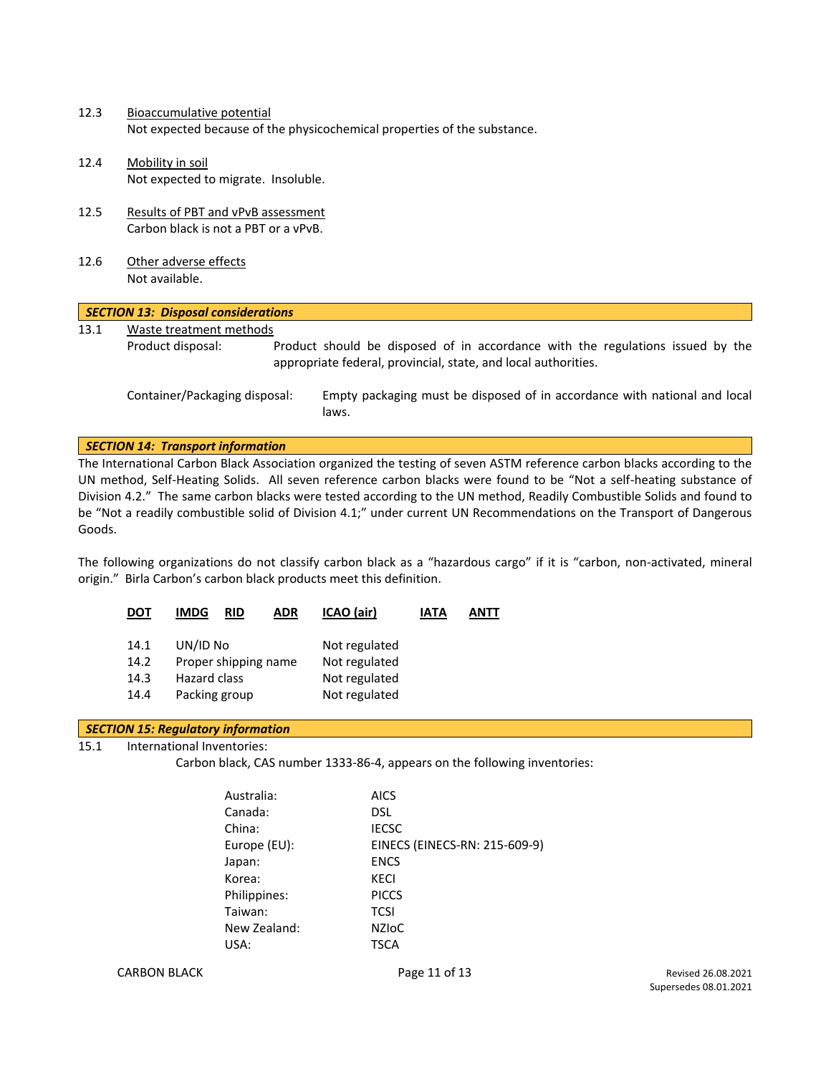- 12.3 Bioaccumulative potential Not expected because of the physicochemical properties of the substance.
- 12.4 Mobility in soil Not expected to migrate. Insoluble.
- 12.5 Results of PBT and vPvB assessment Carbon black is not a PBT or a vPvB.
- 12.6 Other adverse effects Not available.

| <b>SECTION 13: Disposal considerations</b> |                               |  |                                                                                                                                                  |  |
|--------------------------------------------|-------------------------------|--|--------------------------------------------------------------------------------------------------------------------------------------------------|--|
| 13.1                                       | Waste treatment methods       |  |                                                                                                                                                  |  |
|                                            | Product disposal:             |  | Product should be disposed of in accordance with the regulations issued by the<br>appropriate federal, provincial, state, and local authorities. |  |
|                                            | Container/Packaging disposal: |  | Empty packaging must be disposed of in accordance with national and local<br>laws.                                                               |  |

#### *SECTION 14: Transport information*

The International Carbon Black Association organized the testing of seven ASTM reference carbon blacks according to the UN method, Self-Heating Solids. All seven reference carbon blacks were found to be "Not a self-heating substance of Division 4.2." The same carbon blacks were tested according to the UN method, Readily Combustible Solids and found to be "Not a readily combustible solid of Division 4.1;" under current UN Recommendations on the Transport of Dangerous Goods.

The following organizations do not classify carbon black as a "hazardous cargo" if it is "carbon, non-activated, mineral origin." Birla Carbon's carbon black products meet this definition.

| DOT  | <b>IMDG</b><br><b>ADR</b><br>RID | ICAO (air)    | IATA | ANTT |
|------|----------------------------------|---------------|------|------|
| 14.1 | UN/ID No                         | Not regulated |      |      |
| 14.2 | Proper shipping name             | Not regulated |      |      |
| 14.3 | <b>Hazard class</b>              | Not regulated |      |      |
| 14.4 | Packing group                    | Not regulated |      |      |

#### *SECTION 15: Regulatory information*

15.1 International Inventories:

Carbon black, CAS number 1333-86-4, appears on the following inventories:

| Australia:   | <b>AICS</b>                   |
|--------------|-------------------------------|
| Canada:      | <b>DSL</b>                    |
| China:       | <b>IECSC</b>                  |
| Europe (EU): | EINECS (EINECS-RN: 215-609-9) |
| Japan:       | <b>ENCS</b>                   |
| Korea:       | KECI                          |
| Philippines: | <b>PICCS</b>                  |
| Taiwan:      | <b>TCSI</b>                   |
| New Zealand: | <b>NZIOC</b>                  |
| USA:         | <b>TSCA</b>                   |

CARBON BLACK **Page 11 of 13** Page 11 of 13 Revised 26.08.2021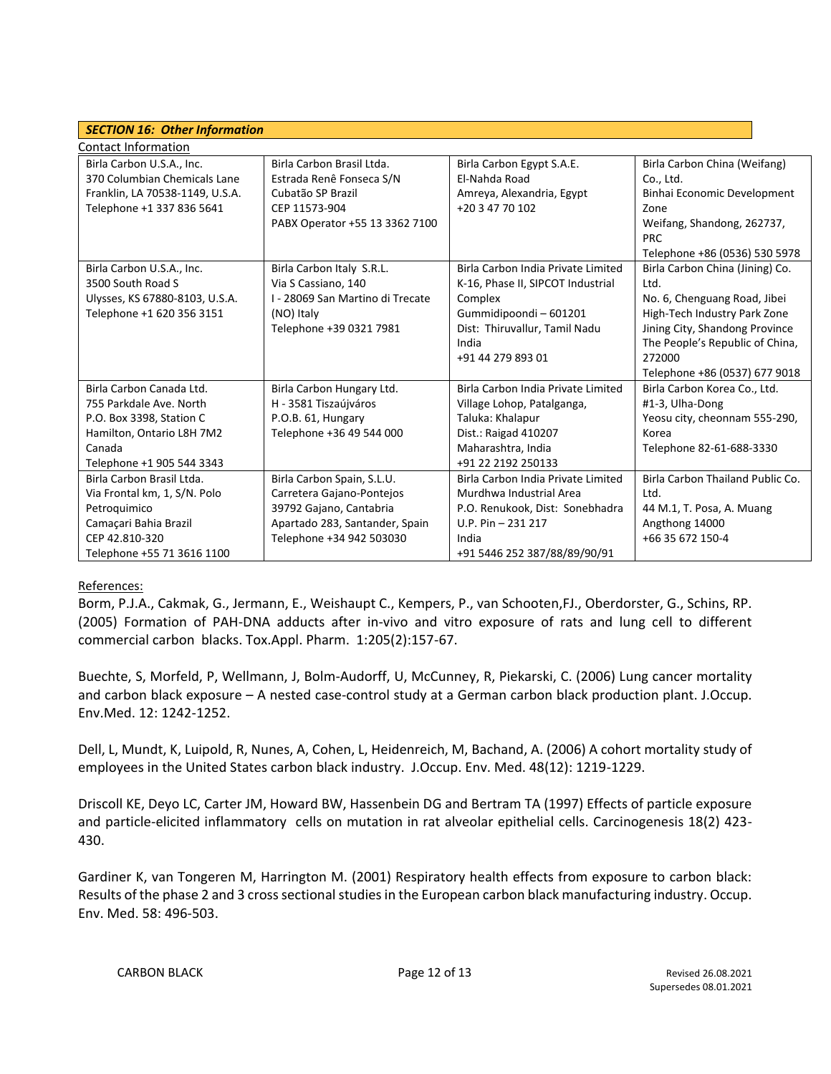| <b>SECTION 16: Other Information</b>                                                                                                                |                                                                                                                                                  |                                                                                                                                                                  |                                                                                                                                                                                      |  |  |  |
|-----------------------------------------------------------------------------------------------------------------------------------------------------|--------------------------------------------------------------------------------------------------------------------------------------------------|------------------------------------------------------------------------------------------------------------------------------------------------------------------|--------------------------------------------------------------------------------------------------------------------------------------------------------------------------------------|--|--|--|
| Contact Information                                                                                                                                 |                                                                                                                                                  |                                                                                                                                                                  |                                                                                                                                                                                      |  |  |  |
| Birla Carbon U.S.A., Inc.<br>370 Columbian Chemicals Lane<br>Franklin, LA 70538-1149, U.S.A.<br>Telephone +1 337 836 5641                           | Birla Carbon Brasil Ltda.<br>Estrada Renê Fonseca S/N<br>Cubatão SP Brazil<br>CEP 11573-904<br>PABX Operator +55 13 3362 7100                    | Birla Carbon Egypt S.A.E.<br>El-Nahda Road<br>Amreya, Alexandria, Egypt<br>+20 3 47 70 102                                                                       | Birla Carbon China (Weifang)<br>Co., Ltd.<br>Binhai Economic Development<br>Zone<br>Weifang, Shandong, 262737,                                                                       |  |  |  |
| Birla Carbon U.S.A., Inc.                                                                                                                           | Birla Carbon Italy S.R.L.                                                                                                                        | Birla Carbon India Private Limited                                                                                                                               | <b>PRC</b><br>Telephone +86 (0536) 530 5978<br>Birla Carbon China (Jining) Co.                                                                                                       |  |  |  |
| 3500 South Road S<br>Ulysses, KS 67880-8103, U.S.A.<br>Telephone +1 620 356 3151                                                                    | Via S Cassiano, 140<br>I - 28069 San Martino di Trecate<br>(NO) Italy<br>Telephone +39 0321 7981                                                 | K-16, Phase II, SIPCOT Industrial<br>Complex<br>Gummidipoondi - 601201<br>Dist: Thiruvallur, Tamil Nadu<br>India<br>+91 44 279 893 01                            | Ltd.<br>No. 6, Chenguang Road, Jibei<br>High-Tech Industry Park Zone<br>Jining City, Shandong Province<br>The People's Republic of China,<br>272000<br>Telephone +86 (0537) 677 9018 |  |  |  |
| Birla Carbon Canada Ltd.<br>755 Parkdale Ave. North<br>P.O. Box 3398, Station C<br>Hamilton, Ontario L8H 7M2<br>Canada<br>Telephone +1 905 544 3343 | Birla Carbon Hungary Ltd.<br>H - 3581 Tiszaújváros<br>P.O.B. 61, Hungary<br>Telephone +36 49 544 000                                             | Birla Carbon India Private Limited<br>Village Lohop, Patalganga,<br>Taluka: Khalapur<br>Dist.: Raigad 410207<br>Maharashtra, India<br>+91 22 2192 250133         | Birla Carbon Korea Co., Ltd.<br>#1-3, Ulha-Dong<br>Yeosu city, cheonnam 555-290,<br>Korea<br>Telephone 82-61-688-3330                                                                |  |  |  |
| Birla Carbon Brasil Ltda.<br>Via Frontal km, 1, S/N. Polo<br>Petroquimico<br>Camaçari Bahia Brazil<br>CEP 42.810-320<br>Telephone +55 71 3616 1100  | Birla Carbon Spain, S.L.U.<br>Carretera Gajano-Pontejos<br>39792 Gajano, Cantabria<br>Apartado 283, Santander, Spain<br>Telephone +34 942 503030 | Birla Carbon India Private Limited<br>Murdhwa Industrial Area<br>P.O. Renukook, Dist: Sonebhadra<br>U.P. Pin $-231$ 217<br>India<br>+91 5446 252 387/88/89/90/91 | Birla Carbon Thailand Public Co.<br>Ltd.<br>44 M.1, T. Posa, A. Muang<br>Angthong 14000<br>+66 35 672 150-4                                                                          |  |  |  |

#### References:

Borm, P.J.A., Cakmak, G., Jermann, E., Weishaupt C., Kempers, P., van Schooten,FJ., Oberdorster, G., Schins, RP. (2005) Formation of PAH-DNA adducts after in-vivo and vitro exposure of rats and lung cell to different commercial carbon blacks. Tox.Appl. Pharm. 1:205(2):157-67.

Buechte, S, Morfeld, P, Wellmann, J, Bolm-Audorff, U, McCunney, R, Piekarski, C. (2006) Lung cancer mortality and carbon black exposure – A nested case-control study at a German carbon black production plant. J.Occup. Env.Med. 12: 1242-1252.

Dell, L, Mundt, K, Luipold, R, Nunes, A, Cohen, L, Heidenreich, M, Bachand, A. (2006) A cohort mortality study of employees in the United States carbon black industry. J.Occup. Env. Med. 48(12): 1219-1229.

Driscoll KE, Deyo LC, Carter JM, Howard BW, Hassenbein DG and Bertram TA (1997) Effects of particle exposure and particle-elicited inflammatory cells on mutation in rat alveolar epithelial cells. Carcinogenesis 18(2) 423- 430.

Gardiner K, van Tongeren M, Harrington M. (2001) Respiratory health effects from exposure to carbon black: Results of the phase 2 and 3 cross sectional studies in the European carbon black manufacturing industry. Occup. Env. Med. 58: 496-503.